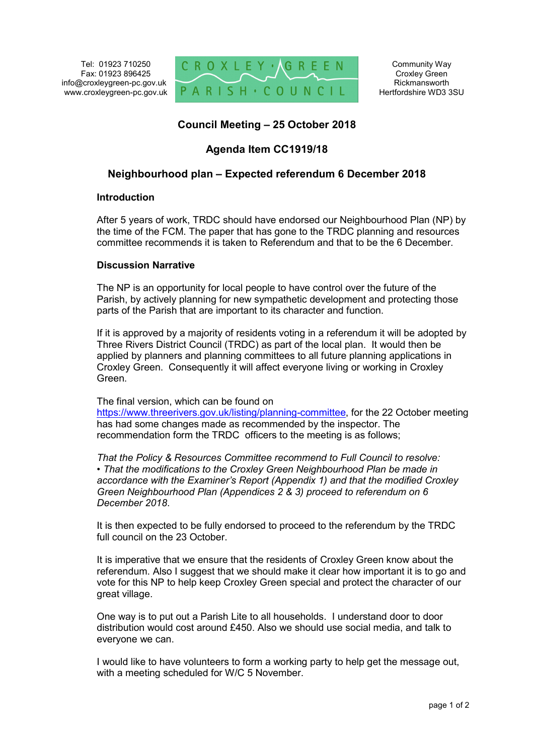

# **Council Meeting – 25 October 2018**

## **Agenda Item CC1919/18**

## **Neighbourhood plan – Expected referendum 6 December 2018**

#### **Introduction**

After 5 years of work, TRDC should have endorsed our Neighbourhood Plan (NP) by the time of the FCM. The paper that has gone to the TRDC planning and resources committee recommends it is taken to Referendum and that to be the 6 December.

#### **Discussion Narrative**

The NP is an opportunity for local people to have control over the future of the Parish, by actively planning for new sympathetic development and protecting those parts of the Parish that are important to its character and function.

If it is approved by a majority of residents voting in a referendum it will be adopted by Three Rivers District Council (TRDC) as part of the local plan. It would then be applied by planners and planning committees to all future planning applications in Croxley Green. Consequently it will affect everyone living or working in Croxley Green.

The final version, which can be found on

https://www.threerivers.gov.uk/listing/planning-committee, for the 22 October meeting has had some changes made as recommended by the inspector. The recommendation form the TRDC officers to the meeting is as follows;

*That the Policy & Resources Committee recommend to Full Council to resolve: • That the modifications to the Croxley Green Neighbourhood Plan be made in accordance with the Examiner's Report (Appendix 1) and that the modified Croxley Green Neighbourhood Plan (Appendices 2 & 3) proceed to referendum on 6 December 2018*.

It is then expected to be fully endorsed to proceed to the referendum by the TRDC full council on the 23 October

It is imperative that we ensure that the residents of Croxley Green know about the referendum. Also I suggest that we should make it clear how important it is to go and vote for this NP to help keep Croxley Green special and protect the character of our great village.

One way is to put out a Parish Lite to all households. I understand door to door distribution would cost around £450. Also we should use social media, and talk to everyone we can.

I would like to have volunteers to form a working party to help get the message out, with a meeting scheduled for W/C 5 November.